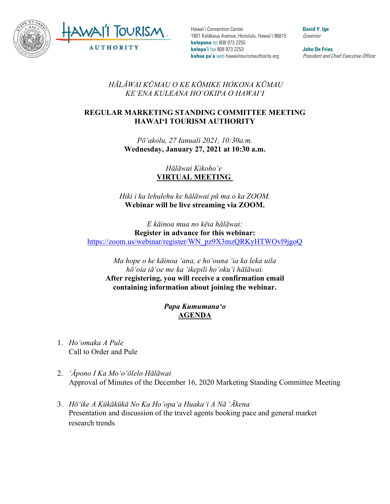

Hawai'i Convention Center 1801 Kalākaua Avenue, Honolulu, Hawai'i 96815 **kelepona** tel 808 973 2255 **kelepa'i** fax 808 973 2253 **kahua pa'a** web hawaiitourismauthority.org

**David Y. Ige** Governor

**John De Fries** President and Chief Executive Officer

*HĀLĀWAI KŪMAU O KE KŌMIKE HOKONA KŪMAU KEʻENA KULEANA HOʻOKIPA O HAWAIʻI* 

## **REGULAR MARKETING STANDING COMMITTEE MEETING HAWAI'I TOURISM AUTHORITY**

*Pōʻakolu, 27 Ianuali 2021, 10:30a.m.* **Wednesday, January 27, 2021 at 10:30 a.m.**

> *Hālāwai Kikohoʻe* **VIRTUAL MEETING**

*Hiki i ka lehulehu ke hālāwai pū ma o ka ZOOM.* **Webinar will be live streaming via ZOOM.**

*E kāinoa mua no kēia hālāwai:* **Register in advance for this webinar:** [https://zoom.us/webinar/register/WN\\_pz9X3mzQRKyHTWOvl9jgoQ](https://zoom.us/webinar/register/WN_pz9X3mzQRKyHTWOvl9jgoQ)

*Ma hope o ke kāinoa ʻana, e hoʻouna ʻia ka leka uila hōʻoia iāʻoe me ka ʻikepili hoʻokuʻi hālāwai.*  **After registering, you will receive a confirmation email containing information about joining the webinar.**

> *Papa Kumumanaʻo* **AGENDA**

- 1. *Hoʻomaka A Pule* Call to Order and Pule
- 2. *ʻĀpono I Ka Moʻoʻōlelo Hālāwai* Approval of Minutes of the December 16, 2020 Marketing Standing Committee Meeting
- 3. *Hōʻike A Kūkākūkā No Ka Hoʻopaʻa Huakaʻi A Nā ʻĀkena* Presentation and discussion of the travel agents booking pace and general market research trends